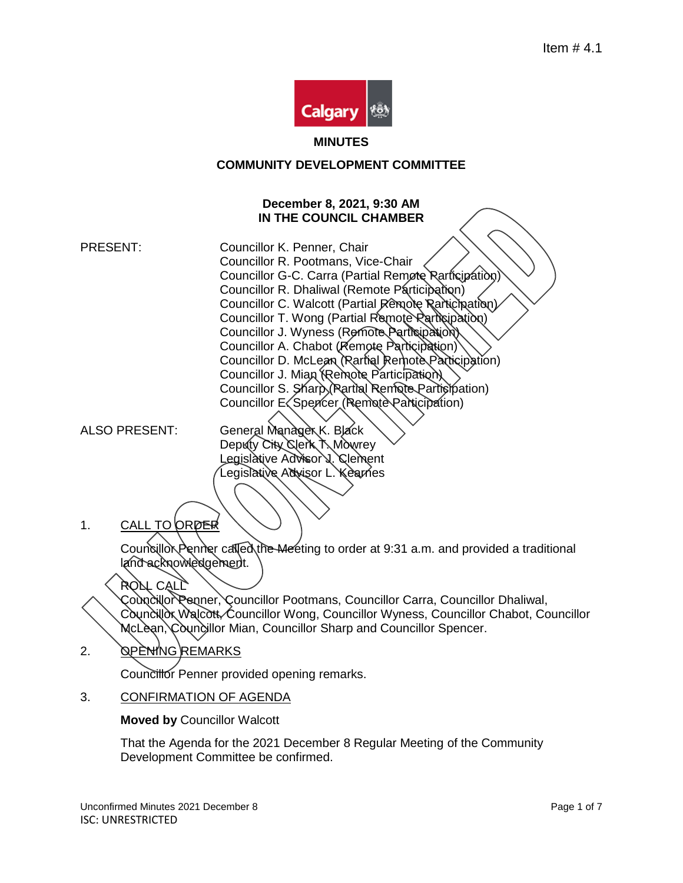

#### **MINUTES**

## **COMMUNITY DEVELOPMENT COMMITTEE**

### **December 8, 2021, 9:30 AM IN THE COUNCIL CHAMBER**

PRESENT: Councillor K. Penner, Chair Councillor R. Pootmans, Vice-Chair Councillor G-C. Carra (Partial Remote Rarticipation) Councillor R. Dhaliwal (Remote Participation) Councillor C. Walcott (Partial Remote Rarticipation) Councillor T. Wong (Partial Remote Participation) Councillor J. Wyness (Remote Participation) Councillor A. Chabot (Remote Participation) Councillor D. McLean (Partial Remote Participation) Councillor J. Mian (Remote Participation) Councillor S. Sharp (Rartial Remote Participation) Councillor E. Spencer (Remote Participation)

ALSO PRESENT: General Manager K. Black Deputy City Clerk T. Mowrey Legislative Advisor J. Clement Legislative Advisor L. Kearnes

1. CALL TO ORDER

Councillor Penner called the Meeting to order at 9:31 a.m. and provided a traditional land acknowledgement.

# ROLL CALL

Councillor Penner, Councillor Pootmans, Councillor Carra, Councillor Dhaliwal, Councillor Walcott Councillor Wong, Councillor Wyness, Councillor Chabot, Councillor McLean, Councillor Mian, Councillor Sharp and Councillor Spencer.

2. OPENING REMARKS

Councillor Penner provided opening remarks.

3. CONFIRMATION OF AGENDA

**Moved by** Councillor Walcott

That the Agenda for the 2021 December 8 Regular Meeting of the Community Development Committee be confirmed.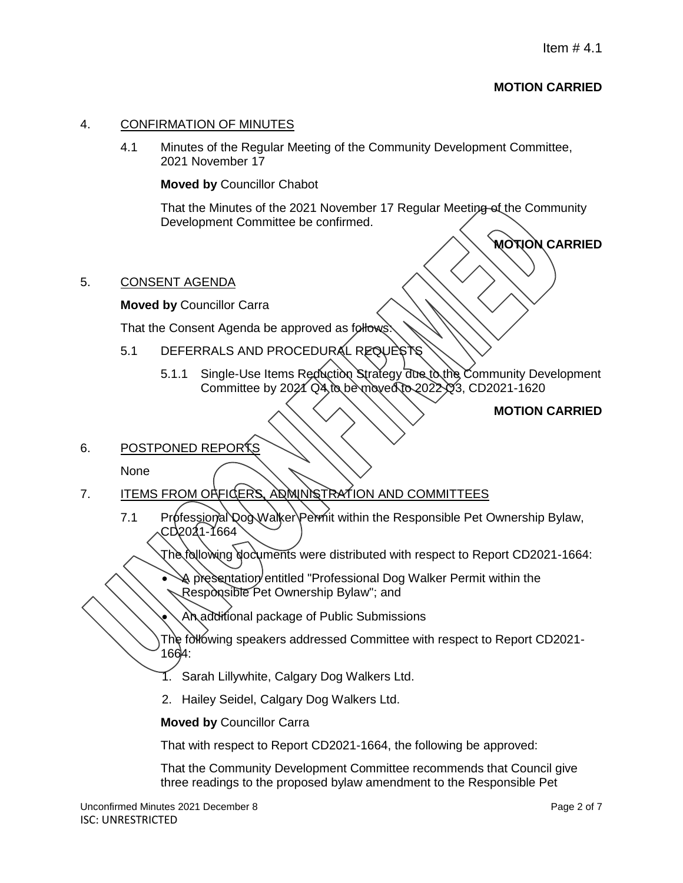# **MOTION CARRIED**

**MOTION CARRIED**

### 4. CONFIRMATION OF MINUTES

4.1 Minutes of the Regular Meeting of the Community Development Committee, 2021 November 17

#### **Moved by** Councillor Chabot

That the Minutes of the 2021 November 17 Regular Meeting of the Community Development Committee be confirmed.

### 5. CONSENT AGENDA

**Moved by** Councillor Carra

That the Consent Agenda be approved as follows

- 5.1 DEFERRALS AND PROCEDURAL REQUESTS
	- 5.1.1 Single-Use Items Reduction Strategy due to the Community Development Committee by 2021 Q4 to be moved to 2022 Q3, CD2021-1620

# **MOTION CARRIED**

## 6. POSTPONED REPORTS

None

- 7. ITEMS FROM OFFICERS, ADMINISTRATION AND COMMITTEES
	- 7.1 Professional Dog Walker Permit within the Responsible Pet Ownership Bylaw, CD2021-1664

The following documents were distributed with respect to Report CD2021-1664:

- A presentation entitled "Professional Dog Walker Permit within the Responsible Pet Ownership Bylaw"; and
	- An additional package of Public Submissions
- The following speakers addressed Committee with respect to Report CD2021-1664:
- 1. Sarah Lillywhite, Calgary Dog Walkers Ltd.
- 2. Hailey Seidel, Calgary Dog Walkers Ltd.

**Moved by** Councillor Carra

That with respect to Report CD2021-1664, the following be approved:

That the Community Development Committee recommends that Council give three readings to the proposed bylaw amendment to the Responsible Pet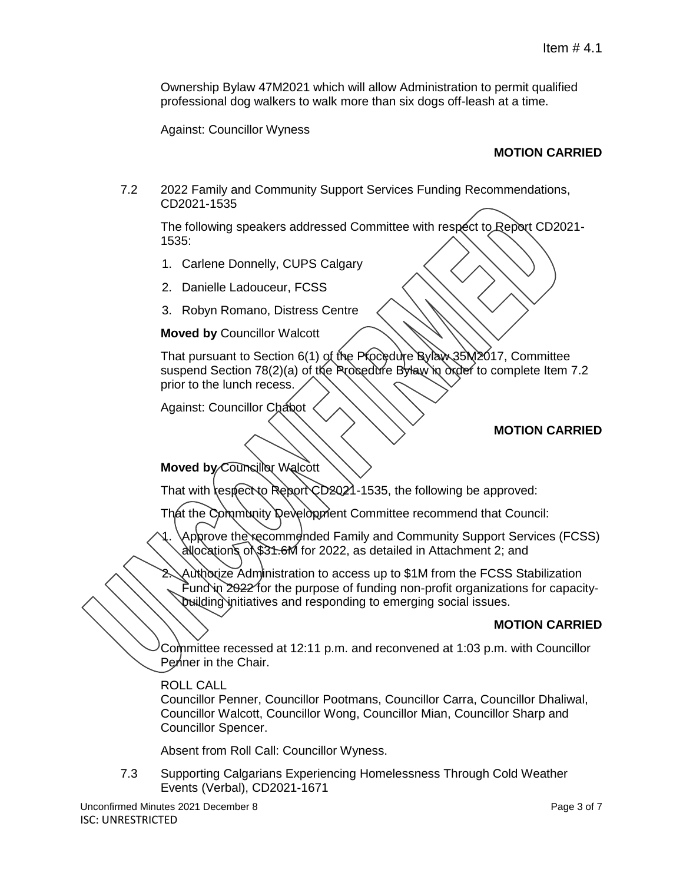Ownership Bylaw 47M2021 which will allow Administration to permit qualified professional dog walkers to walk more than six dogs off-leash at a time.

Against: Councillor Wyness

## **MOTION CARRIED**

7.2 2022 Family and Community Support Services Funding Recommendations, CD2021-1535

The following speakers addressed Committee with respect to Report CD2021- 1535:

- 1. Carlene Donnelly, CUPS Calgary
- 2. Danielle Ladouceur, FCSS
- 3. Robyn Romano, Distress Centre

#### **Moved by** Councillor Walcott

That pursuant to Section 6(1) of the Procedure Bylaw 35M2017, Committee suspend Section 78(2)(a) of the Procedure Bylaw in order to complete Item 7.2 prior to the lunch recess.

Against: Councillor Chabot

#### **MOTION CARRIED**

**Moved by Councillor Walcott** 

That with respect to Report CD2021-1535, the following be approved:

That the Community Development Committee recommend that Council:

Approve the recommended Family and Community Support Services (FCSS) allocations of \$31.6M for 2022, as detailed in Attachment 2; and

Authorize Administration to access up to \$1M from the FCSS Stabilization Fund in  $2022$  for the purpose of funding non-profit organizations for capacitybuilding initiatives and responding to emerging social issues.

### **MOTION CARRIED**

Committee recessed at 12:11 p.m. and reconvened at 1:03 p.m. with Councillor Penner in the Chair.

#### ROLL CALL

Councillor Penner, Councillor Pootmans, Councillor Carra, Councillor Dhaliwal, Councillor Walcott, Councillor Wong, Councillor Mian, Councillor Sharp and Councillor Spencer.

Absent from Roll Call: Councillor Wyness.

7.3 Supporting Calgarians Experiencing Homelessness Through Cold Weather Events (Verbal), CD2021-1671

Unconfirmed Minutes 2021 December 8 **Page 3 of 7** Page 3 of 7 ISC: UNRESTRICTED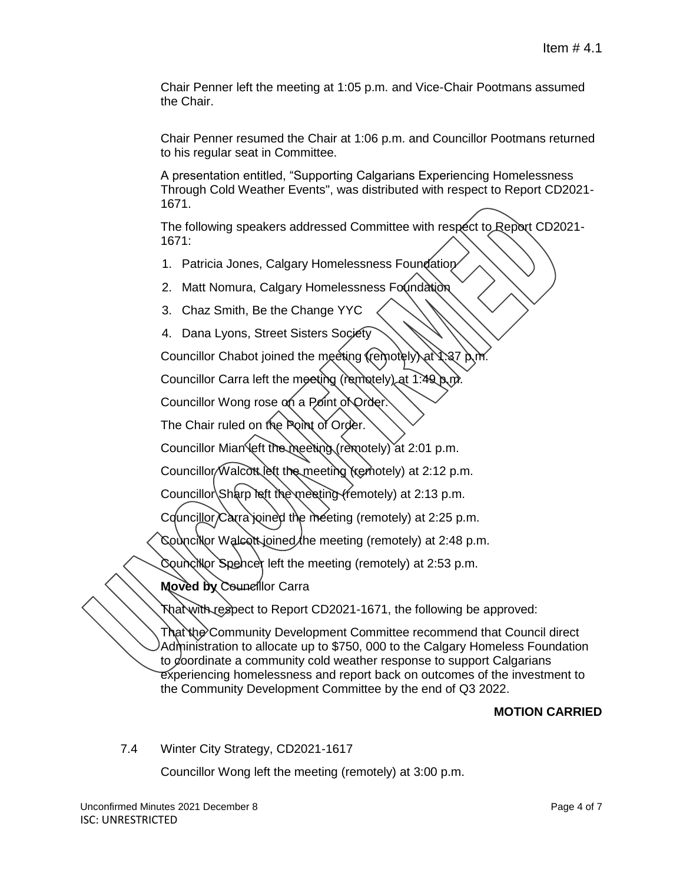Chair Penner left the meeting at 1:05 p.m. and Vice-Chair Pootmans assumed the Chair.

Chair Penner resumed the Chair at 1:06 p.m. and Councillor Pootmans returned to his regular seat in Committee.

A presentation entitled, "Supporting Calgarians Experiencing Homelessness Through Cold Weather Events", was distributed with respect to Report CD2021- 1671.

The following speakers addressed Committee with respect to Report CD2021- 1671:

- 1. Patricia Jones, Calgary Homelessness Foundation
- 2. Matt Nomura, Calgary Homelessness Foundation
- 3. Chaz Smith, Be the Change YYC
- 4. Dana Lyons, Street Sisters Society

Councillor Chabot joined the meeting (remotely) at

Councillor Carra left the meeting (remotely) at 1:49.

Councillor Wong rose on a Point of Order.

The Chair ruled on the Point of Order.

Councillor Mian left the meeting (remotely) at 2:01 p.m.

Councillor/Walcott lett the meeting (remotely) at 2:12 p.m.

Councillor Sharp left the meeting (remotely) at 2:13 p.m.

Councillor Carra joined the meeting (remotely) at 2:25 p.m.

Councillor Walcott joined the meeting (remotely) at 2:48 p.m.

Councillor Spencer left the meeting (remotely) at 2:53 p.m.

**Moved by** Councillor Carra

That with respect to Report CD2021-1671, the following be approved:

That the Community Development Committee recommend that Council direct Administration to allocate up to \$750, 000 to the Calgary Homeless Foundation to coordinate a community cold weather response to support Calgarians experiencing homelessness and report back on outcomes of the investment to the Community Development Committee by the end of Q3 2022.

# **MOTION CARRIED**

7.4 Winter City Strategy, CD2021-1617

Councillor Wong left the meeting (remotely) at 3:00 p.m.

Unconfirmed Minutes 2021 December 8 **Page 4 of 7** Page 4 of 7 ISC: UNRESTRICTED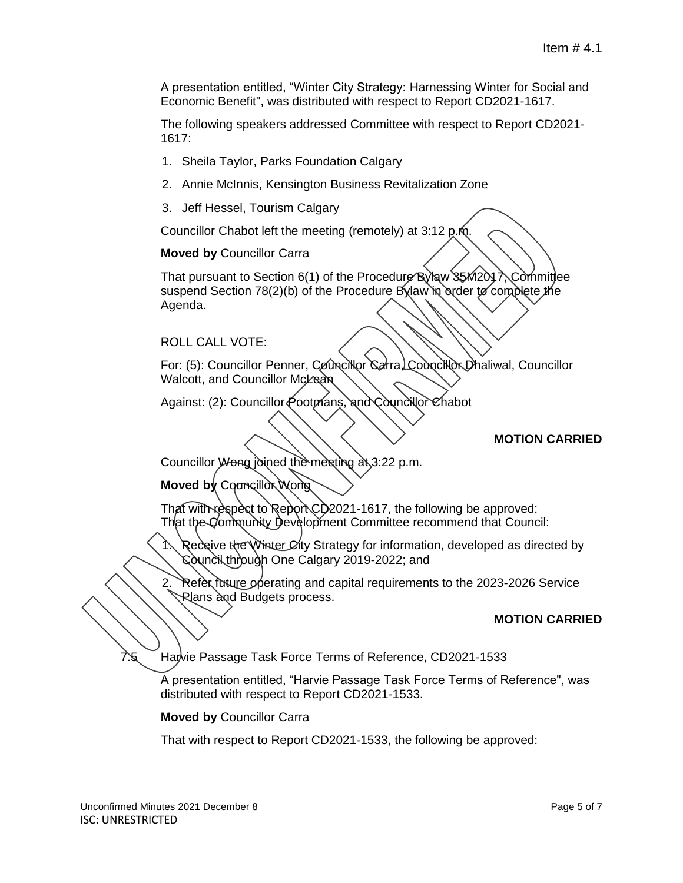A presentation entitled, "Winter City Strategy: Harnessing Winter for Social and Economic Benefit", was distributed with respect to Report CD2021-1617.

The following speakers addressed Committee with respect to Report CD2021- 1617:

- 1. Sheila Taylor, Parks Foundation Calgary
- 2. Annie McInnis, Kensington Business Revitalization Zone
- 3. Jeff Hessel, Tourism Calgary

Councillor Chabot left the meeting (remotely) at 3:12 p.m.

**Moved by** Councillor Carra

That pursuant to Section 6(1) of the Procedure Bylaw 35M2017, Committee suspend Section 78(2)(b) of the Procedure Bylaw in order to complete the Agenda.

ROLL CALL VOTE:

For: (5): Councillor Penner, Councillor Carra, Councillor Dhaliwal, Councillor Walcott, and Councillor McLean

Against: (2): Councillor Pootmans, and Councillor Chabot

#### **MOTION CARRIED**

Councillor *Wong* joined the meeting  $a$ <sub>5</sub>3:22 p.m.

**Moved by Councillor Wong** 

That with respect to Report CD2021-1617, the following be approved: That the Community Development Committee recommend that Council:

Receive the Winter City Strategy for information, developed as directed by Council through One Calgary 2019-2022; and

2. Refer future operating and capital requirements to the 2023-2026 Service Rlans and Budgets process.

#### **MOTION CARRIED**

7.5 Harvie Passage Task Force Terms of Reference, CD2021-1533

A presentation entitled, "Harvie Passage Task Force Terms of Reference", was distributed with respect to Report CD2021-1533.

**Moved by** Councillor Carra

That with respect to Report CD2021-1533, the following be approved: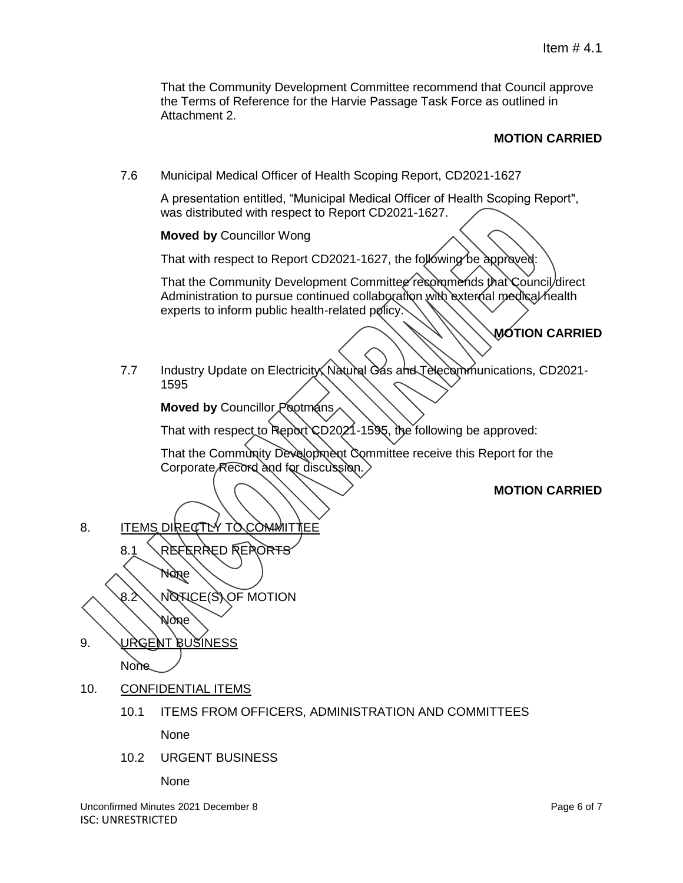That the Community Development Committee recommend that Council approve the Terms of Reference for the Harvie Passage Task Force as outlined in Attachment 2.

### **MOTION CARRIED**

7.6 Municipal Medical Officer of Health Scoping Report, CD2021-1627

A presentation entitled, "Municipal Medical Officer of Health Scoping Report", was distributed with respect to Report CD2021-1627.

**Moved by** Councillor Wong

That with respect to Report CD2021-1627, the following be approved:

That the Community Development Committee recommends that Council direct Administration to pursue continued collaboration with external medical health experts to inform public health-related policy.

# **MOTION CARRIED**

7.7 Industry Update on Electricity, Natural Gas and Telecommunications, CD2021- 1595

**Moved by Councillor Pootmans** 

That with respect to Report CD2021-1595, the following be approved:

That the Community Development Committee receive this Report for the Corporate Record and for discussion.

### **MOTION CARRIED**

8. ITEMS DIRECTLY TO COMMITTEE

8.1 REFERRED REPORTS

**None**  $8.2 \diagdown$  NOTICE(S) OF MOTION None

- 9. URGENT BUSINESS **None**
- 10. CONFIDENTIAL ITEMS
	- 10.1 ITEMS FROM OFFICERS, ADMINISTRATION AND COMMITTEES

None

10.2 URGENT BUSINESS

None